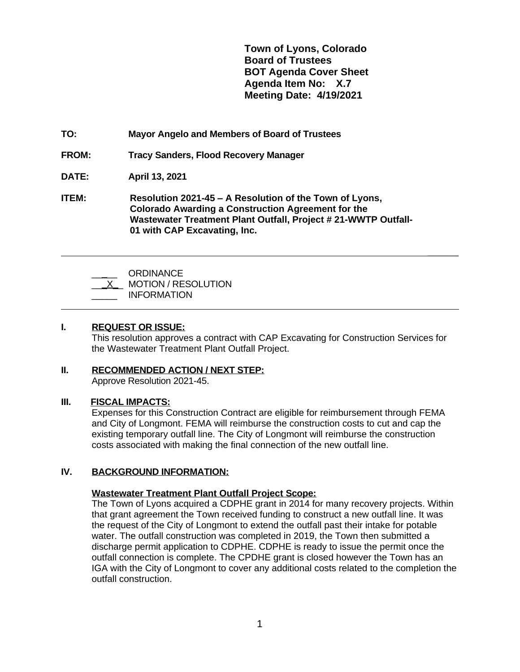**Town of Lyons, Colorado Board of Trustees BOT Agenda Cover Sheet Agenda Item No: X.7 Meeting Date: 4/19/2021**

 **\_\_\_\_\_\_**

**TO: Mayor Angelo and Members of Board of Trustees**

**FROM: Tracy Sanders, Flood Recovery Manager**

**DATE: April 13, 2021**

**ITEM: Resolution 2021-45 – A Resolution of the Town of Lyons, Colorado Awarding a Construction Agreement for the Wastewater Treatment Plant Outfall, Project # 21-WWTP Outfall-01 with CAP Excavating, Inc.**

| ORDINANCE<br><b>MOTION / RESOLUTION</b><br><b>INFORMATION</b> |
|---------------------------------------------------------------|
|---------------------------------------------------------------|

#### **I. REQUEST OR ISSUE:**

This resolution approves a contract with CAP Excavating for Construction Services for the Wastewater Treatment Plant Outfall Project.

# **II. RECOMMENDED ACTION / NEXT STEP:**

Approve Resolution 2021-45.

## **III. FISCAL IMPACTS:**

Expenses for this Construction Contract are eligible for reimbursement through FEMA and City of Longmont. FEMA will reimburse the construction costs to cut and cap the existing temporary outfall line. The City of Longmont will reimburse the construction costs associated with making the final connection of the new outfall line.

## **IV. BACKGROUND INFORMATION:**

## **Wastewater Treatment Plant Outfall Project Scope:**

The Town of Lyons acquired a CDPHE grant in 2014 for many recovery projects. Within that grant agreement the Town received funding to construct a new outfall line. It was the request of the City of Longmont to extend the outfall past their intake for potable water. The outfall construction was completed in 2019, the Town then submitted a discharge permit application to CDPHE. CDPHE is ready to issue the permit once the outfall connection is complete. The CPDHE grant is closed however the Town has an IGA with the City of Longmont to cover any additional costs related to the completion the outfall construction.